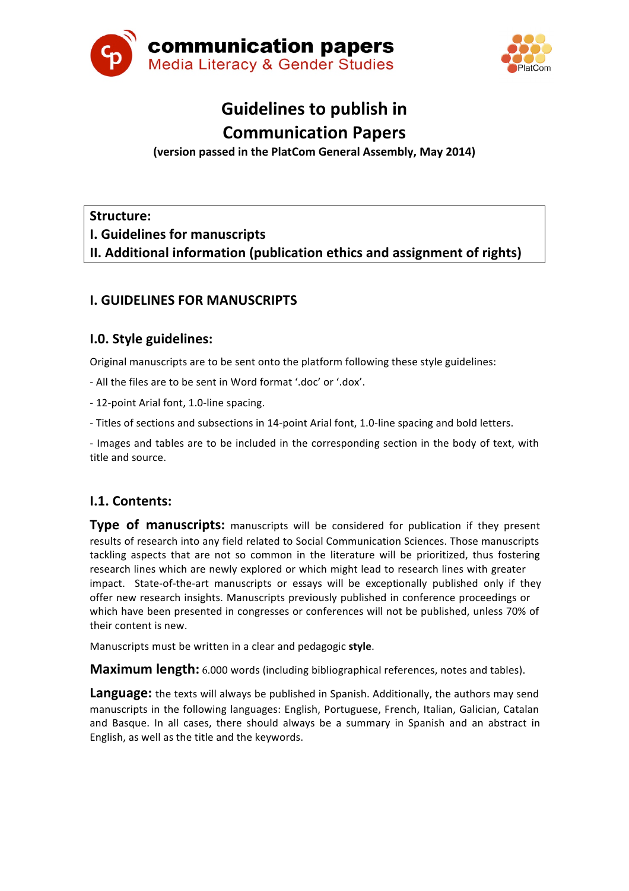



# **Guidelines to publish in Communication Papers**

**(version passed in the PlatCom General Assembly, May 2014)**

**Structure:**

**I. Guidelines for manuscripts**

**II.** Additional information (publication ethics and assignment of rights)

# **I. GUIDELINES FOR MANUSCRIPTS**

## **I.O. Style guidelines:**

Original manuscripts are to be sent onto the platform following these style guidelines:

- All the files are to be sent in Word format '.doc' or '.dox'.

- 12-point Arial font, 1.0-line spacing.

- Titles of sections and subsections in 14-point Arial font, 1.0-line spacing and bold letters.

- Images and tables are to be included in the corresponding section in the body of text, with title and source.

## **I.1. Contents:**

**Type of manuscripts:** manuscripts will be considered for publication if they present results of research into any field related to Social Communication Sciences. Those manuscripts tackling aspects that are not so common in the literature will be prioritized, thus fostering research lines which are newly explored or which might lead to research lines with greater impact. State-of-the-art manuscripts or essays will be exceptionally published only if they offer new research insights. Manuscripts previously published in conference proceedings or which have been presented in congresses or conferences will not be published, unless 70% of their content is new.

Manuscripts must be written in a clear and pedagogic style.

**Maximum length:** 6.000 words (including bibliographical references, notes and tables).

**Language:** the texts will always be published in Spanish. Additionally, the authors may send manuscripts in the following languages: English, Portuguese, French, Italian, Galician, Catalan and Basque. In all cases, there should always be a summary in Spanish and an abstract in English, as well as the title and the keywords.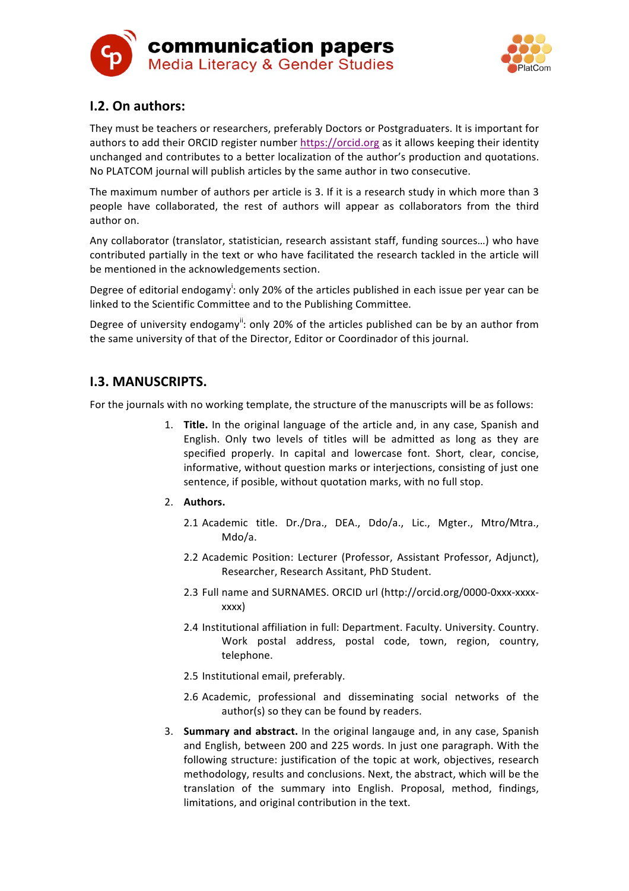



# **I.2. On authors:**

They must be teachers or researchers, preferably Doctors or Postgraduaters. It is important for authors to add their ORCID register number https://orcid.org as it allows keeping their identity unchanged and contributes to a better localization of the author's production and quotations. No PLATCOM journal will publish articles by the same author in two consecutive.

The maximum number of authors per article is 3. If it is a research study in which more than 3 people have collaborated, the rest of authors will appear as collaborators from the third author on.

Any collaborator (translator, statistician, research assistant staff, funding sources...) who have contributed partially in the text or who have facilitated the research tackled in the article will be mentioned in the acknowledgements section.

Degree of editorial endogamy<sup>i</sup>: only 20% of the articles published in each issue per year can be linked to the Scientific Committee and to the Publishing Committee.

Degree of university endogamy": only 20% of the articles published can be by an author from the same university of that of the Director, Editor or Coordinador of this journal.

## **I.3. MANUSCRIPTS.**

For the journals with no working template, the structure of the manuscripts will be as follows:

- 1. **Title.** In the original language of the article and, in any case, Spanish and English. Only two levels of titles will be admitted as long as they are specified properly. In capital and lowercase font. Short, clear, concise, informative, without question marks or interjections, consisting of just one sentence, if posible, without quotation marks, with no full stop.
- 2. **Authors.**
	- 2.1 Academic title. Dr./Dra., DEA., Ddo/a., Lic., Mgter., Mtro/Mtra., Mdo/a.
	- 2.2 Academic Position: Lecturer (Professor, Assistant Professor, Adjunct), Researcher, Research Assitant, PhD Student.
	- 2.3 Full name and SURNAMES. ORCID url (http://orcid.org/0000-0xxx-xxxxxxxx)
	- 2.4 Institutional affiliation in full: Department. Faculty. University. Country. Work postal address, postal code, town, region, country, telephone.
	- 2.5 Institutional email, preferably.
	- 2.6 Academic, professional and disseminating social networks of the author(s) so they can be found by readers.
- 3. **Summary and abstract.** In the original langauge and, in any case, Spanish and English, between 200 and 225 words. In just one paragraph. With the following structure: justification of the topic at work, objectives, research methodology, results and conclusions. Next, the abstract, which will be the translation of the summary into English. Proposal, method, findings, limitations, and original contribution in the text.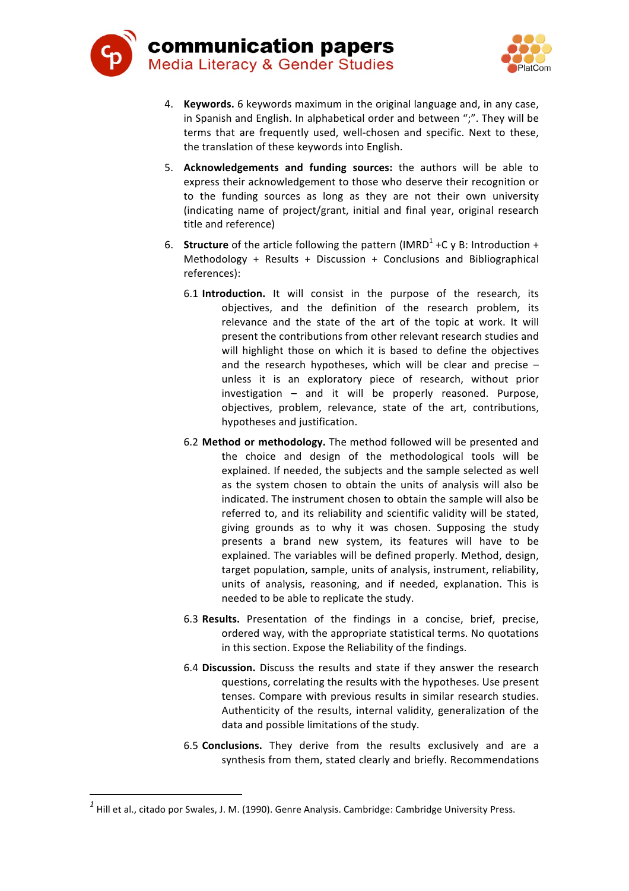



- 4. **Keywords.** 6 keywords maximum in the original language and, in any case, in Spanish and English. In alphabetical order and between ";". They will be terms that are frequently used, well-chosen and specific. Next to these, the translation of these keywords into English.
- 5. Acknowledgements and funding sources: the authors will be able to express their acknowledgement to those who deserve their recognition or to the funding sources as long as they are not their own university (indicating name of project/grant, initial and final year, original research title and reference)
- 6. **Structure** of the article following the pattern (IMRD<sup>1</sup> +C y B: Introduction + Methodology + Results + Discussion + Conclusions and Bibliographical references):
	- 6.1 **Introduction.** It will consist in the purpose of the research, its objectives, and the definition of the research problem, its relevance and the state of the art of the topic at work. It will present the contributions from other relevant research studies and will highlight those on which it is based to define the objectives and the research hypotheses, which will be clear and precise  $$ unless it is an exploratory piece of research, without prior investigation  $-$  and it will be properly reasoned. Purpose, objectives, problem, relevance, state of the art, contributions, hypotheses and justification.
	- 6.2 **Method or methodology.** The method followed will be presented and the choice and design of the methodological tools will be explained. If needed, the subjects and the sample selected as well as the system chosen to obtain the units of analysis will also be indicated. The instrument chosen to obtain the sample will also be referred to, and its reliability and scientific validity will be stated, giving grounds as to why it was chosen. Supposing the study presents a brand new system, its features will have to be explained. The variables will be defined properly. Method, design, target population, sample, units of analysis, instrument, reliability, units of analysis, reasoning, and if needed, explanation. This is needed to be able to replicate the study.
	- 6.3 Results. Presentation of the findings in a concise, brief, precise, ordered way, with the appropriate statistical terms. No quotations in this section. Expose the Reliability of the findings.
	- 6.4 **Discussion.** Discuss the results and state if they answer the research questions, correlating the results with the hypotheses. Use present tenses. Compare with previous results in similar research studies. Authenticity of the results, internal validity, generalization of the data and possible limitations of the study.
	- 6.5 **Conclusions.** They derive from the results exclusively and are a synthesis from them, stated clearly and briefly. Recommendations

 

 $^1$  Hill et al., citado por Swales, J. M. (1990). Genre Analysis. Cambridge: Cambridge University Press.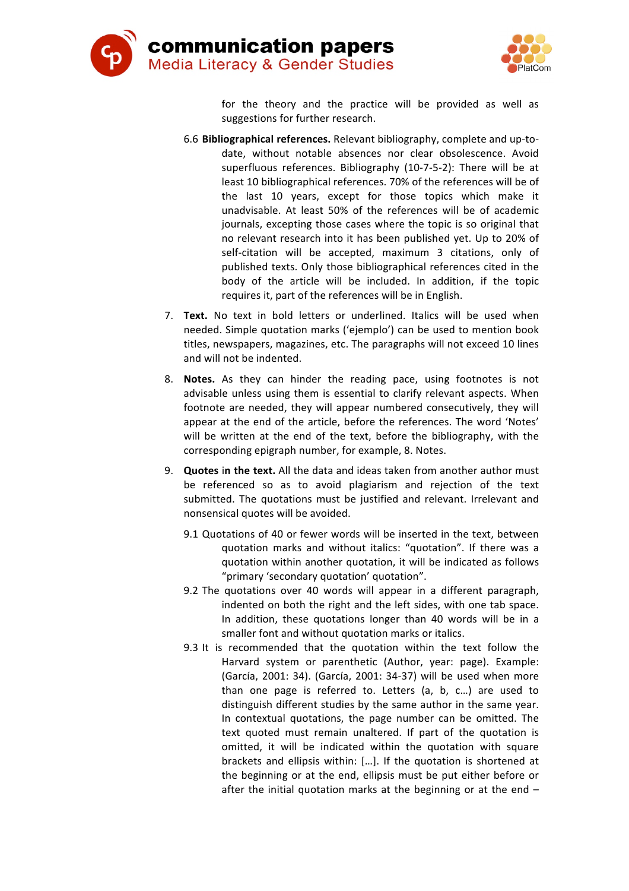



for the theory and the practice will be provided as well as suggestions for further research.

- 6.6 **Bibliographical references.** Relevant bibliography, complete and up-todate, without notable absences nor clear obsolescence. Avoid superfluous references. Bibliography (10-7-5-2): There will be at least 10 bibliographical references. 70% of the references will be of the last 10 years, except for those topics which make it unadvisable. At least 50% of the references will be of academic journals, excepting those cases where the topic is so original that no relevant research into it has been published yet. Up to 20% of self-citation will be accepted, maximum 3 citations, only of published texts. Only those bibliographical references cited in the body of the article will be included. In addition, if the topic requires it, part of the references will be in English.
- 7. **Text.** No text in bold letters or underlined. Italics will be used when needed. Simple quotation marks ('ejemplo') can be used to mention book titles, newspapers, magazines, etc. The paragraphs will not exceed 10 lines and will not be indented.
- 8. Notes. As they can hinder the reading pace, using footnotes is not advisable unless using them is essential to clarify relevant aspects. When footnote are needed, they will appear numbered consecutively, they will appear at the end of the article, before the references. The word 'Notes' will be written at the end of the text, before the bibliography, with the corresponding epigraph number, for example, 8. Notes.
- 9. **Quotes in the text.** All the data and ideas taken from another author must be referenced so as to avoid plagiarism and rejection of the text submitted. The quotations must be justified and relevant. Irrelevant and nonsensical quotes will be avoided.
	- 9.1 Quotations of 40 or fewer words will be inserted in the text, between quotation marks and without italics: "quotation". If there was a quotation within another quotation, it will be indicated as follows "primary 'secondary quotation' quotation".
	- 9.2 The quotations over 40 words will appear in a different paragraph, indented on both the right and the left sides, with one tab space. In addition, these quotations longer than 40 words will be in a smaller font and without quotation marks or italics.
	- 9.3 It is recommended that the quotation within the text follow the Harvard system or parenthetic (Author, year: page). Example: (García, 2001: 34). (García, 2001: 34-37) will be used when more than one page is referred to. Letters (a, b, c...) are used to distinguish different studies by the same author in the same year. In contextual quotations, the page number can be omitted. The text quoted must remain unaltered. If part of the quotation is omitted, it will be indicated within the quotation with square brackets and ellipsis within: [...]. If the quotation is shortened at the beginning or at the end, ellipsis must be put either before or after the initial quotation marks at the beginning or at the end  $-$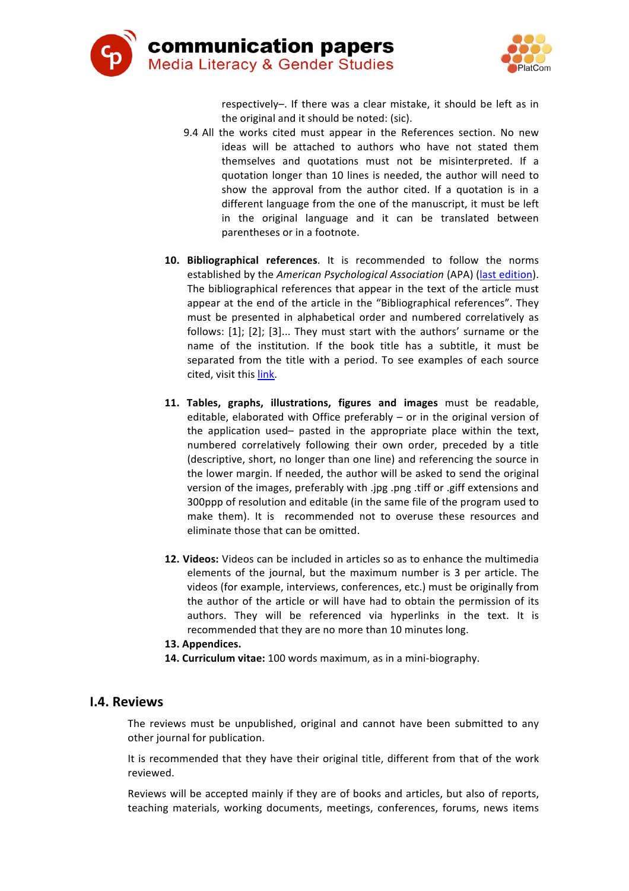



respectively-. If there was a clear mistake, it should be left as in the original and it should be noted: (sic).

- 9.4 All the works cited must appear in the References section. No new ideas will be attached to authors who have not stated them themselves and quotations must not be misinterpreted. If a quotation longer than 10 lines is needed, the author will need to show the approval from the author cited. If a quotation is in a different language from the one of the manuscript, it must be left in the original language and it can be translated between parentheses or in a footnote.
- 10. Bibliographical references. It is recommended to follow the norms established by the *American Psychological Association* (APA) (last edition). The bibliographical references that appear in the text of the article must appear at the end of the article in the "Bibliographical references". They must be presented in alphabetical order and numbered correlatively as follows:  $[1]$ ;  $[2]$ ;  $[3]$ ... They must start with the authors' surname or the name of the institution. If the book title has a subtitle, it must be separated from the title with a period. To see examples of each source cited, visit this link.
- **11. Tables, graphs, illustrations, figures and images** must be readable, editable, elaborated with Office preferably  $-$  or in the original version of the application used– pasted in the appropriate place within the text, numbered correlatively following their own order, preceded by a title (descriptive, short, no longer than one line) and referencing the source in the lower margin. If needed, the author will be asked to send the original version of the images, preferably with .jpg .png .tiff or .giff extensions and 300ppp of resolution and editable (in the same file of the program used to make them). It is recommended not to overuse these resources and eliminate those that can be omitted.
- **12. Videos:** Videos can be included in articles so as to enhance the multimedia elements of the journal, but the maximum number is 3 per article. The videos (for example, interviews, conferences, etc.) must be originally from the author of the article or will have had to obtain the permission of its authors. They will be referenced via hyperlinks in the text. It is recommended that they are no more than 10 minutes long.
- **13. Appendices.**
- 14. **Curriculum vitae:** 100 words maximum, as in a mini-biography.

#### **I.4. Reviews**

The reviews must be unpublished, original and cannot have been submitted to any other journal for publication.

It is recommended that they have their original title, different from that of the work reviewed.

Reviews will be accepted mainly if they are of books and articles, but also of reports, teaching materials, working documents, meetings, conferences, forums, news items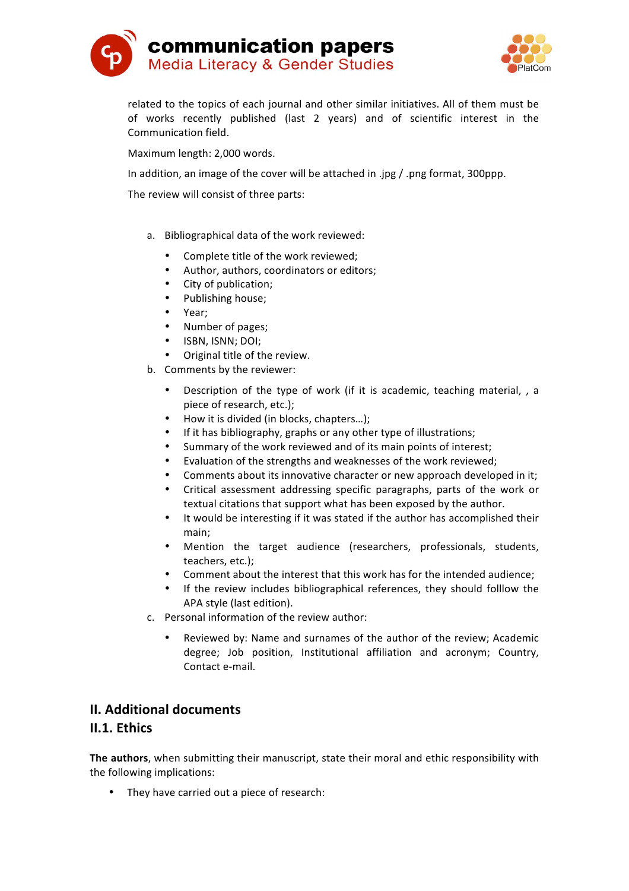



related to the topics of each journal and other similar initiatives. All of them must be of works recently published (last 2 years) and of scientific interest in the Communication field.

Maximum length: 2,000 words.

In addition, an image of the cover will be attached in .jpg / .png format, 300ppp.

The review will consist of three parts:

- a. Bibliographical data of the work reviewed:
	- Complete title of the work reviewed:
	- Author, authors, coordinators or editors;
	- City of publication;
	- Publishing house;
	- Year;
	- Number of pages;
	- ISBN, ISNN; DOI;
	- Original title of the review.
- b. Comments by the reviewer:
	- Description of the type of work (if it is academic, teaching material, , a piece of research, etc.);
	- How it is divided (in blocks, chapters...);
	- If it has bibliography, graphs or any other type of illustrations;
	- Summary of the work reviewed and of its main points of interest;
	- Evaluation of the strengths and weaknesses of the work reviewed;
	- Comments about its innovative character or new approach developed in it;
	- Critical assessment addressing specific paragraphs, parts of the work or textual citations that support what has been exposed by the author.
	- It would be interesting if it was stated if the author has accomplished their main;
	- Mention the target audience (researchers, professionals, students, teachers, etc.);
	- Comment about the interest that this work has for the intended audience;
	- If the review includes bibliographical references, they should folllow the APA style (last edition).
- c. Personal information of the review author:
	- Reviewed by: Name and surnames of the author of the review; Academic degree; Job position, Institutional affiliation and acronym; Country, Contact e-mail.

## **II. Additional documents**

### **II.1. Ethics**

The **authors**, when submitting their manuscript, state their moral and ethic responsibility with the following implications:

• They have carried out a piece of research: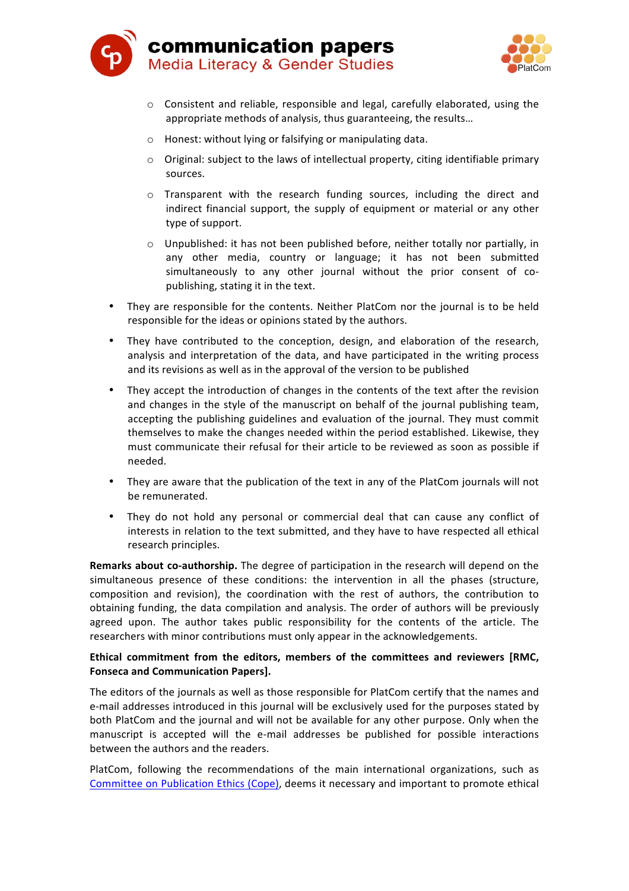



- $\circ$  Consistent and reliable, responsible and legal, carefully elaborated, using the appropriate methods of analysis, thus guaranteeing, the results...
- $\circ$  Honest: without lying or falsifying or manipulating data.
- $\circ$  Original: subject to the laws of intellectual property, citing identifiable primary sources.
- o Transparent with the research funding sources, including the direct and indirect financial support, the supply of equipment or material or any other type of support.
- $\circ$  Unpublished: it has not been published before, neither totally nor partially, in any other media, country or language; it has not been submitted simultaneously to any other journal without the prior consent of copublishing, stating it in the text.
- They are responsible for the contents. Neither PlatCom nor the journal is to be held responsible for the ideas or opinions stated by the authors.
- They have contributed to the conception, design, and elaboration of the research, analysis and interpretation of the data, and have participated in the writing process and its revisions as well as in the approval of the version to be published
- They accept the introduction of changes in the contents of the text after the revision and changes in the style of the manuscript on behalf of the journal publishing team, accepting the publishing guidelines and evaluation of the journal. They must commit themselves to make the changes needed within the period established. Likewise, they must communicate their refusal for their article to be reviewed as soon as possible if needed.
- They are aware that the publication of the text in any of the PlatCom journals will not be remunerated.
- They do not hold any personal or commercial deal that can cause any conflict of interests in relation to the text submitted, and they have to have respected all ethical research principles.

**Remarks about co-authorship.** The degree of participation in the research will depend on the simultaneous presence of these conditions: the intervention in all the phases (structure, composition and revision), the coordination with the rest of authors, the contribution to obtaining funding, the data compilation and analysis. The order of authors will be previously agreed upon. The author takes public responsibility for the contents of the article. The researchers with minor contributions must only appear in the acknowledgements.

#### Ethical commitment from the editors, members of the committees and reviewers [RMC, **Fonseca and Communication Papers].**

The editors of the journals as well as those responsible for PlatCom certify that the names and e-mail addresses introduced in this journal will be exclusively used for the purposes stated by both PlatCom and the journal and will not be available for any other purpose. Only when the manuscript is accepted will the e-mail addresses be published for possible interactions between the authors and the readers.

PlatCom, following the recommendations of the main international organizations, such as Committee on Publication Ethics (Cope), deems it necessary and important to promote ethical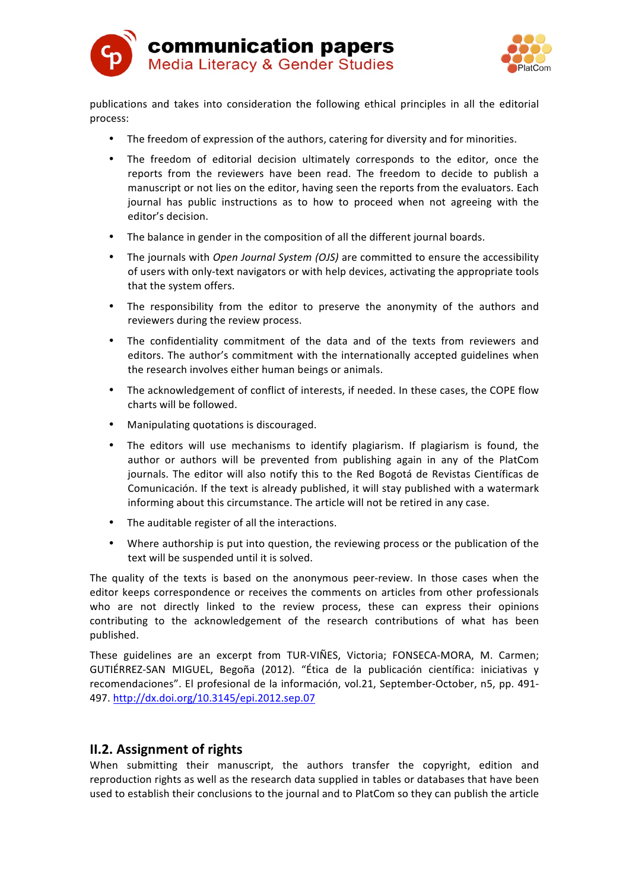



publications and takes into consideration the following ethical principles in all the editorial process: 

- The freedom of expression of the authors, catering for diversity and for minorities.
- The freedom of editorial decision ultimately corresponds to the editor, once the reports from the reviewers have been read. The freedom to decide to publish a manuscript or not lies on the editor, having seen the reports from the evaluators. Each journal has public instructions as to how to proceed when not agreeing with the editor's decision.
- The balance in gender in the composition of all the different journal boards.
- The journals with *Open Journal System (OJS)* are committed to ensure the accessibility of users with only-text navigators or with help devices, activating the appropriate tools that the system offers.
- The responsibility from the editor to preserve the anonymity of the authors and reviewers during the review process.
- The confidentiality commitment of the data and of the texts from reviewers and editors. The author's commitment with the internationally accepted guidelines when the research involves either human beings or animals.
- The acknowledgement of conflict of interests, if needed. In these cases, the COPE flow charts will be followed.
- Manipulating quotations is discouraged.
- The editors will use mechanisms to identify plagiarism. If plagiarism is found, the author or authors will be prevented from publishing again in any of the PlatCom journals. The editor will also notify this to the Red Bogotá de Revistas Científicas de Comunicación. If the text is already published, it will stay published with a watermark informing about this circumstance. The article will not be retired in any case.
- The auditable register of all the interactions.
- Where authorship is put into question, the reviewing process or the publication of the text will be suspended until it is solved.

The quality of the texts is based on the anonymous peer-review. In those cases when the editor keeps correspondence or receives the comments on articles from other professionals who are not directly linked to the review process, these can express their opinions contributing to the acknowledgement of the research contributions of what has been published. 

These guidelines are an excerpt from TUR-VIÑES, Victoria; FONSECA-MORA, M. Carmen; GUTIÉRREZ-SAN MIGUEL, Begoña (2012). "Ética de la publicación científica: iniciativas y recomendaciones". El profesional de la información, vol.21, September-October, n5, pp. 491-497. http://dx.doi.org/10.3145/epi.2012.sep.07

## **II.2. Assignment of rights**

When submitting their manuscript, the authors transfer the copyright, edition and reproduction rights as well as the research data supplied in tables or databases that have been used to establish their conclusions to the journal and to PlatCom so they can publish the article